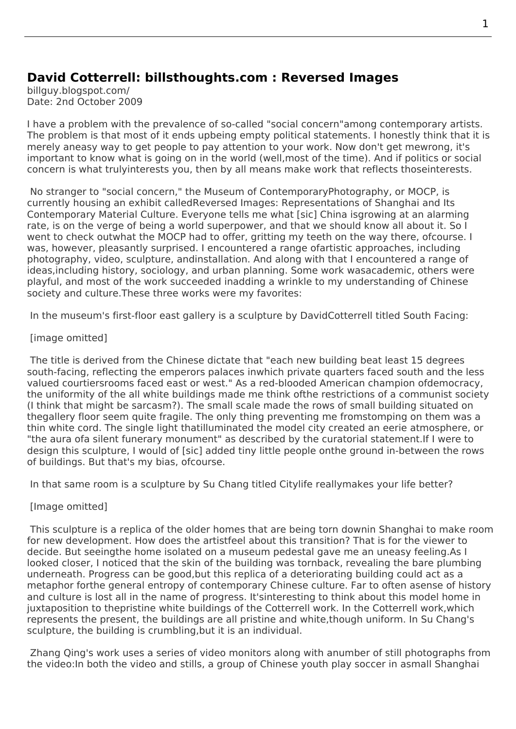## **David Cotterrell: billsthoughts.com : Reversed Images**

billguy.blogspot.com/ Date: 2nd October 2009

I have a problem with the prevalence of so-called "social concern"among contemporary artists. The problem is that most of it ends upbeing empty political statements. I honestly think that it is merely aneasy way to get people to pay attention to your work. Now don't get mewrong, it's important to know what is going on in the world (well,most of the time). And if politics or social concern is what trulyinterests you, then by all means make work that reflects thoseinterests.

 No stranger to "social concern," the Museum of ContemporaryPhotography, or MOCP, is currently housing an exhibit calledReversed Images: Representations of Shanghai and Its Contemporary Material Culture. Everyone tells me what [sic] China isgrowing at an alarming rate, is on the verge of being a world superpower, and that we should know all about it. So I went to check outwhat the MOCP had to offer, gritting my teeth on the way there, ofcourse. I was, however, pleasantly surprised. I encountered a range ofartistic approaches, including photography, video, sculpture, andinstallation. And along with that I encountered a range of ideas,including history, sociology, and urban planning. Some work wasacademic, others were playful, and most of the work succeeded inadding a wrinkle to my understanding of Chinese society and culture.These three works were my favorites:

In the museum's first-floor east gallery is a sculpture by DavidCotterrell titled South Facing:

## [image omitted]

 The title is derived from the Chinese dictate that "each new building beat lea[st 15 degrees](http://www.cotterrell.com/projects/34/south-facing/) south-facing, reflecting the emperors palaces inwhich private quarters faced south and the less valued courtiersrooms faced east or west." As a red-blooded American champion ofdemocracy, the uniformity of the all white buildings made me think ofthe restrictions of a communist society (I think that might be sarcasm?). The small scale made the rows of small building situated on thegallery floor seem quite fragile. The only thing preventing me fromstomping on them was a thin white cord. The single light thatilluminated the model city created an eerie atmosphere, or "the aura ofa silent funerary monument" as described by the curatorial statement.If I were to design this sculpture, I would of [sic] added tiny little people onthe ground in-between the rows of buildings. But that's my bias, ofcourse.

In that same room is a sculpture by Su Chang titled Citylife reallymakes your life better?

## [Image omitted]

 This sculpture is a replica of the older homes that are being torn downin Shanghai to make room for new development. How does the artistfeel about this transition? That is for the viewer to decide. But seeingthe home isolated on a museum pedestal gave me an uneasy feeling.As I looked closer, I noticed that the skin of the building was tornback, revealing the bare plumbing underneath. Progress can be good,but this replica of a deteriorating building could act as a metaphor forthe general entropy of contemporary Chinese culture. Far to often asense of history and culture is lost all in the name of progress. It'sinteresting to think about this model home in juxtaposition to thepristine white buildings of the Cotterrell work. In the Cotterrell work,which represents the present, the buildings are all pristine and white,though uniform. In Su Chang's sculpture, the building is crumbling,but it is an individual.

 Zhang Qing's work uses a series of video monitors along with anumber of still photographs from the video:In both the video and stills, a group of Chinese youth play soccer in asmall Shanghai